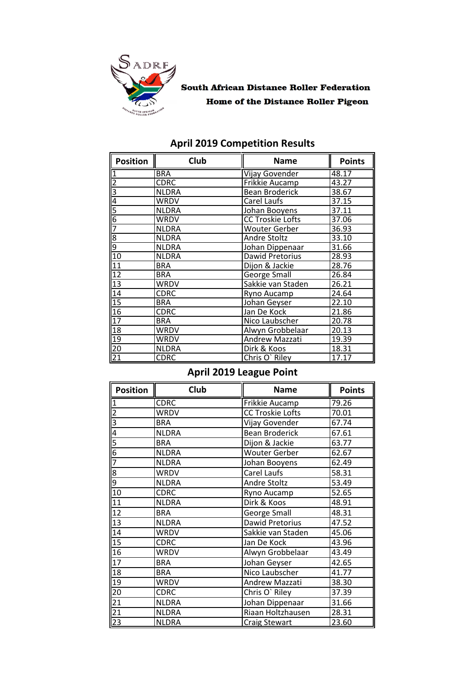

## **South African Distance Roller Federation Home of the Distance Roller Pigeon**

| <b>Position</b>         | Club         | <b>Name</b>             | <b>Points</b> |
|-------------------------|--------------|-------------------------|---------------|
|                         | <b>BRA</b>   | <b>Vijay Govender</b>   | 48.17         |
| $\overline{\mathbf{c}}$ | <b>CDRC</b>  | Frikkie Aucamp          | 43.27         |
| Β                       | <b>NLDRA</b> | <b>Bean Broderick</b>   | 38.67         |
| $\overline{4}$          | WRDV         | Carel Laufs             | 37.15         |
| 5                       | <b>NLDRA</b> | Johan Booyens           | 37.11         |
| 6                       | WRDV         | <b>CC Troskie Lofts</b> | 37.06         |
| 7                       | <b>NLDRA</b> | <b>Wouter Gerber</b>    | 36.93         |
| ∞ တ                     | <b>NLDRA</b> | Andre Stoltz            | 33.10         |
|                         | <b>NLDRA</b> | Johan Dippenaar         | 31.66         |
| 10                      | <b>NLDRA</b> | Dawid Pretorius         | 28.93         |
| 11                      | <b>BRA</b>   | Dijon & Jackie          | 28.76         |
| 12                      | <b>BRA</b>   | George Small            | 26.84         |
| 13                      | WRDV         | Sakkie van Staden       | 26.21         |
| 14                      | <b>CDRC</b>  | Ryno Aucamp             | 24.64         |
| 15                      | <b>BRA</b>   | Johan Geyser            | 22.10         |
| 16                      | CDRC         | Jan De Kock             | 21.86         |
| 17                      | <b>BRA</b>   | Nico Laubscher          | 20.78         |
| 18                      | WRDV         | Alwyn Grobbelaar        | 20.13         |
| 19                      | WRDV         | Andrew Mazzati          | 19.39         |
| $\overline{20}$         | <b>NLDRA</b> | Dirk & Koos             | 18.31         |
| $\overline{21}$         | <b>CDRC</b>  | Chris O' Riley          | 17.17         |

## **April 2019 Competition Results**

# **April 2019 League Point**

| <b>Position</b> | <b>Club</b>  | <b>Name</b>             | <b>Points</b> |
|-----------------|--------------|-------------------------|---------------|
|                 | <b>CDRC</b>  | Frikkie Aucamp          | 79.26         |
| $\overline{c}$  | <b>WRDV</b>  | <b>CC Troskie Lofts</b> | 70.01         |
| 3               | <b>BRA</b>   | Vijay Govender          | 67.74         |
| 4               | <b>NLDRA</b> | <b>Bean Broderick</b>   | 67.61         |
| 5               | <b>BRA</b>   | Dijon & Jackie          | 63.77         |
| 6               | <b>NLDRA</b> | <b>Wouter Gerber</b>    | 62.67         |
| $\overline{7}$  | <b>NLDRA</b> | Johan Booyens           | 62.49         |
| $\overline{8}$  | WRDV         | Carel Laufs             | 58.31         |
| 9               | <b>NLDRA</b> | Andre Stoltz            | 53.49         |
| $\overline{10}$ | <b>CDRC</b>  | Ryno Aucamp             | 52.65         |
| $\overline{11}$ | <b>NLDRA</b> | Dirk & Koos             | 48.91         |
| $\overline{12}$ | <b>BRA</b>   | George Small            | 48.31         |
| $\overline{13}$ | <b>NLDRA</b> | Dawid Pretorius         | 47.52         |
| 14              | WRDV         | Sakkie van Staden       | 45.06         |
| 15              | <b>CDRC</b>  | Jan De Kock             | 43.96         |
| 16              | WRDV         | Alwyn Grobbelaar        | 43.49         |
| 17              | <b>BRA</b>   | Johan Geyser            | 42.65         |
| 18              | <b>BRA</b>   | Nico Laubscher          | 41.77         |
| $\overline{19}$ | <b>WRDV</b>  | Andrew Mazzati          | 38.30         |
| $\overline{20}$ | <b>CDRC</b>  | Chris O' Riley          | 37.39         |
| $\frac{21}{21}$ | <b>NLDRA</b> | Johan Dippenaar         | 31.66         |
|                 | <b>NLDRA</b> | Riaan Holtzhausen       | 28.31         |
| $\overline{23}$ | <b>NLDRA</b> | <b>Craig Stewart</b>    | 23.60         |